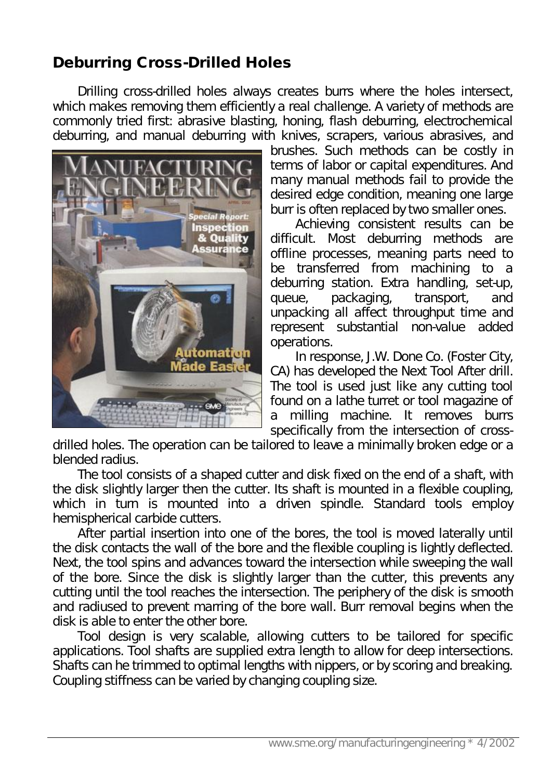## **Deburring Cross-Drilled Holes**

Drilling cross-drilled holes always creates burrs where the holes intersect, which makes removing them efficiently a real challenge. A variety of methods are commonly tried first: abrasive blasting, honing, flash deburring, electrochemical deburring, and manual deburring with knives, scrapers, various abrasives, and



brushes. Such methods can be costly in terms of labor or capital expenditures. And many manual methods fail to provide the desired edge condition, meaning one large burr is often replaced by two smaller ones.

Achieving consistent results can be difficult. Most deburring methods are offline processes, meaning parts need to be transferred from machining to a deburring station. Extra handling, set-up, queue, packaging, transport, and unpacking all affect throughput time and represent substantial non-value added operations.

In response, J.W. Done Co. (Foster City, CA) has developed the Next Tool After drill. The tool is used just like any cutting tool found on a lathe turret or tool magazine of milling machine. It removes burrs specifically from the intersection of cross-

drilled holes. The operation can be tailored to leave a minimally broken edge or a blended radius.

The tool consists of a shaped cutter and disk fixed on the end of a shaft, with the disk slightly larger then the cutter. Its shaft is mounted in a flexible coupling, which in turn is mounted into a driven spindle. Standard tools employ hemispherical carbide cutters.

After partial insertion into one of the bores, the tool is moved laterally until the disk contacts the wall of the bore and the flexible coupling is lightly deflected. Next, the tool spins and advances toward the intersection while sweeping the wall of the bore. Since the disk is slightly larger than the cutter, this prevents any cutting until the tool reaches the intersection. The periphery of the disk is smooth and radiused to prevent marring of the bore wall. Burr removal begins when the disk is able to enter the other bore.

Tool design is very scalable, allowing cutters to be tailored for specific applications. Tool shafts are supplied extra length to allow for deep intersections. Shafts can he trimmed to optimal lengths with nippers, or by scoring and breaking. Coupling stiffness can be varied by changing coupling size.